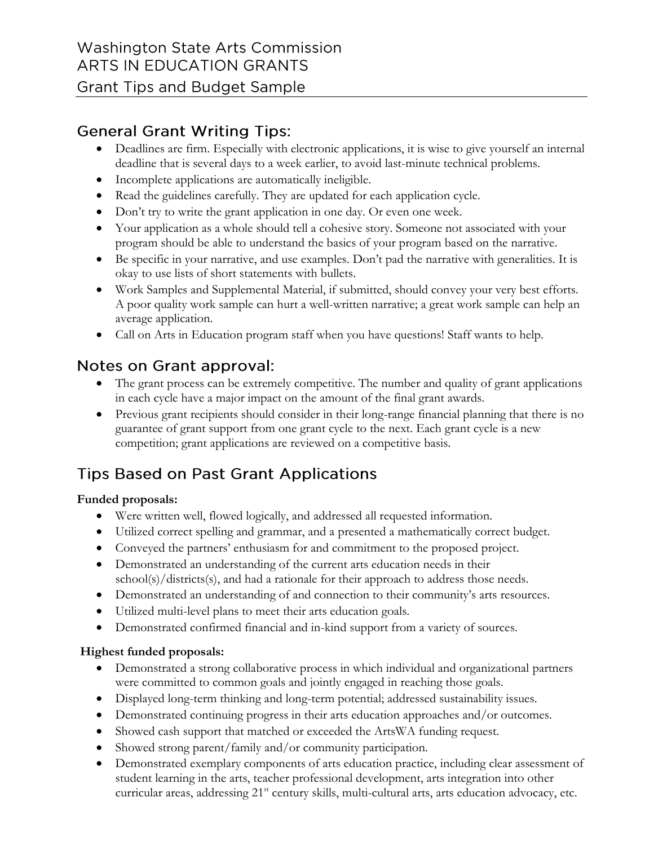## **General Grant Writing Tips:**

- Deadlines are firm. Especially with electronic applications, it is wise to give yourself an internal deadline that is several days to a week earlier, to avoid last-minute technical problems.
- Incomplete applications are automatically ineligible.
- Read the guidelines carefully. They are updated for each application cycle.
- Don't try to write the grant application in one day. Or even one week.
- Your application as a whole should tell a cohesive story. Someone not associated with your program should be able to understand the basics of your program based on the narrative.
- Be specific in your narrative, and use examples. Don't pad the narrative with generalities. It is okay to use lists of short statements with bullets.
- Work Samples and Supplemental Material, if submitted, should convey your very best efforts. A poor quality work sample can hurt a well-written narrative; a great work sample can help an average application.
- Call on Arts in Education program staff when you have questions! Staff wants to help.

## Notes on Grant approval:

- The grant process can be extremely competitive. The number and quality of grant applications in each cycle have a major impact on the amount of the final grant awards.
- Previous grant recipients should consider in their long-range financial planning that there is no guarantee of grant support from one grant cycle to the next. Each grant cycle is a new competition; grant applications are reviewed on a competitive basis.

# **Tips Based on Past Grant Applications**

### **Funded proposals:**

- Were written well, flowed logically, and addressed all requested information.
- Utilized correct spelling and grammar, and a presented a mathematically correct budget.
- Conveyed the partners' enthusiasm for and commitment to the proposed project.
- Demonstrated an understanding of the current arts education needs in their school(s)/districts(s), and had a rationale for their approach to address those needs.
- Demonstrated an understanding of and connection to their community's arts resources.
- Utilized multi-level plans to meet their arts education goals.
- Demonstrated confirmed financial and in-kind support from a variety of sources.

### **Highest funded proposals:**

- Demonstrated a strong collaborative process in which individual and organizational partners were committed to common goals and jointly engaged in reaching those goals.
- Displayed long-term thinking and long-term potential; addressed sustainability issues.
- Demonstrated continuing progress in their arts education approaches and/or outcomes.
- Showed cash support that matched or exceeded the ArtsWA funding request.
- Showed strong parent/family and/or community participation.
- Demonstrated exemplary components of arts education practice, including clear assessment of student learning in the arts, teacher professional development, arts integration into other curricular areas, addressing 21<sup>st</sup> century skills, multi-cultural arts, arts education advocacy, etc.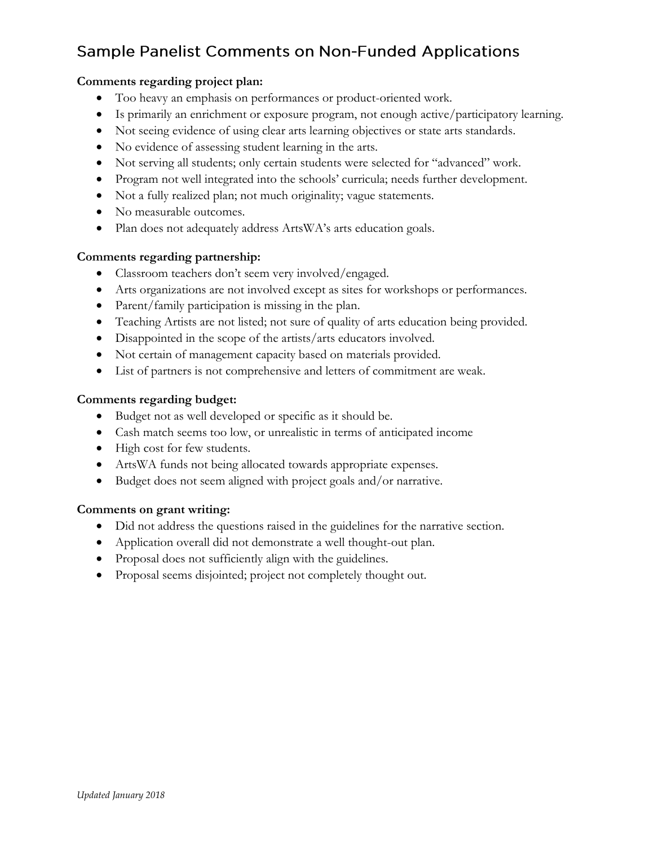# **Sample Panelist Comments on Non-Funded Applications**

#### **Comments regarding project plan:**

- Too heavy an emphasis on performances or product-oriented work.
- Is primarily an enrichment or exposure program, not enough active/participatory learning.
- Not seeing evidence of using clear arts learning objectives or state arts standards.
- No evidence of assessing student learning in the arts.
- Not serving all students; only certain students were selected for "advanced" work.
- Program not well integrated into the schools' curricula; needs further development.
- Not a fully realized plan; not much originality; vague statements.
- No measurable outcomes.
- Plan does not adequately address ArtsWA's arts education goals.

#### **Comments regarding partnership:**

- Classroom teachers don't seem very involved/engaged.
- Arts organizations are not involved except as sites for workshops or performances.
- Parent/family participation is missing in the plan.
- Teaching Artists are not listed; not sure of quality of arts education being provided.
- Disappointed in the scope of the artists/arts educators involved.
- Not certain of management capacity based on materials provided.
- List of partners is not comprehensive and letters of commitment are weak.

#### **Comments regarding budget:**

- Budget not as well developed or specific as it should be.
- Cash match seems too low, or unrealistic in terms of anticipated income
- High cost for few students.
- ArtsWA funds not being allocated towards appropriate expenses.
- Budget does not seem aligned with project goals and/or narrative.

#### **Comments on grant writing:**

- Did not address the questions raised in the guidelines for the narrative section.
- Application overall did not demonstrate a well thought-out plan.
- Proposal does not sufficiently align with the guidelines.
- Proposal seems disjointed; project not completely thought out.